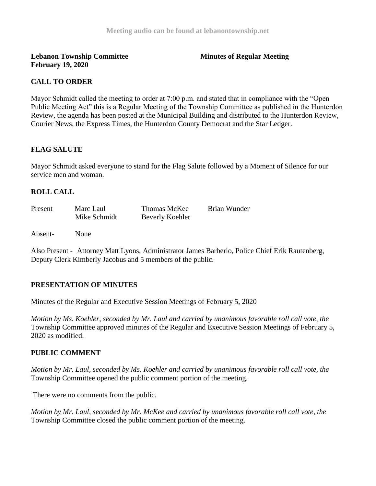**Lebanon Township Committee 3 All 2008 Minutes of Regular Meeting February 19, 2020**

# **CALL TO ORDER**

Mayor Schmidt called the meeting to order at 7:00 p.m. and stated that in compliance with the "Open" Public Meeting Act" this is a Regular Meeting of the Township Committee as published in the Hunterdon Review, the agenda has been posted at the Municipal Building and distributed to the Hunterdon Review, Courier News, the Express Times, the Hunterdon County Democrat and the Star Ledger.

### **FLAG SALUTE**

Mayor Schmidt asked everyone to stand for the Flag Salute followed by a Moment of Silence for our service men and woman.

### **ROLL CALL**

| Present | Marc Laul    | Thomas McKee           | Brian Wunder |
|---------|--------------|------------------------|--------------|
|         | Mike Schmidt | <b>Beverly Koehler</b> |              |

Absent- None

Also Present - Attorney Matt Lyons, Administrator James Barberio, Police Chief Erik Rautenberg, Deputy Clerk Kimberly Jacobus and 5 members of the public.

# **PRESENTATION OF MINUTES**

Minutes of the Regular and Executive Session Meetings of February 5, 2020

*Motion by Ms. Koehler, seconded by Mr. Laul and carried by unanimous favorable roll call vote, the*  Township Committee approved minutes of the Regular and Executive Session Meetings of February 5, 2020 as modified.

# **PUBLIC COMMENT**

*Motion by Mr. Laul, seconded by Ms. Koehler and carried by unanimous favorable roll call vote, the*  Township Committee opened the public comment portion of the meeting.

There were no comments from the public.

*Motion by Mr. Laul, seconded by Mr. McKee and carried by unanimous favorable roll call vote, the*  Township Committee closed the public comment portion of the meeting.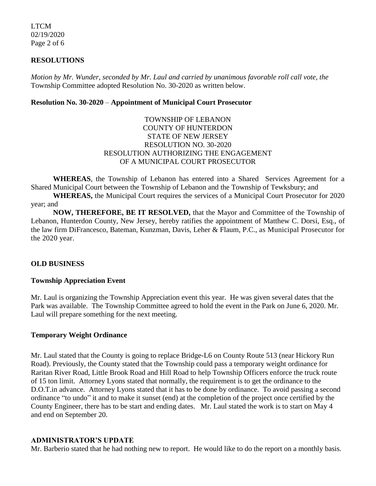LTCM 02/19/2020 Page 2 of 6

### **RESOLUTIONS**

*Motion by Mr. Wunder, seconded by Mr. Laul and carried by unanimous favorable roll call vote, the* Township Committee adopted Resolution No. 30-2020 as written below.

#### **Resolution No. 30-2020** – **Appointment of Municipal Court Prosecutor**

## TOWNSHIP OF LEBANON COUNTY OF HUNTERDON STATE OF NEW JERSEY RESOLUTION NO. 30-2020 RESOLUTION AUTHORIZING THE ENGAGEMENT OF A MUNICIPAL COURT PROSECUTOR

**WHEREAS**, the Township of Lebanon has entered into a Shared Services Agreement for a Shared Municipal Court between the Township of Lebanon and the Township of Tewksbury; and

**WHEREAS,** the Municipal Court requires the services of a Municipal Court Prosecutor for 2020 year; and

**NOW, THEREFORE, BE IT RESOLVED,** that the Mayor and Committee of the Township of Lebanon, Hunterdon County, New Jersey, hereby ratifies the appointment of Matthew C. Dorsi, Esq., of the law firm DiFrancesco, Bateman, Kunzman, Davis, Leher & Flaum, P.C., as Municipal Prosecutor for the 2020 year.

# **OLD BUSINESS**

#### **Township Appreciation Event**

Mr. Laul is organizing the Township Appreciation event this year. He was given several dates that the Park was available. The Township Committee agreed to hold the event in the Park on June 6, 2020. Mr. Laul will prepare something for the next meeting.

## **Temporary Weight Ordinance**

Mr. Laul stated that the County is going to replace Bridge-L6 on County Route 513 (near Hickory Run Road). Previously, the County stated that the Township could pass a temporary weight ordinance for Raritan River Road, Little Brook Road and Hill Road to help Township Officers enforce the truck route of 15 ton limit. Attorney Lyons stated that normally, the requirement is to get the ordinance to the D.O.T.in advance. Attorney Lyons stated that it has to be done by ordinance. To avoid passing a second ordinance "to undo" it and to make it sunset (end) at the completion of the project once certified by the County Engineer, there has to be start and ending dates. Mr. Laul stated the work is to start on May 4 and end on September 20.

#### **ADMINISTRATOR'S UPDATE**

Mr. Barberio stated that he had nothing new to report. He would like to do the report on a monthly basis.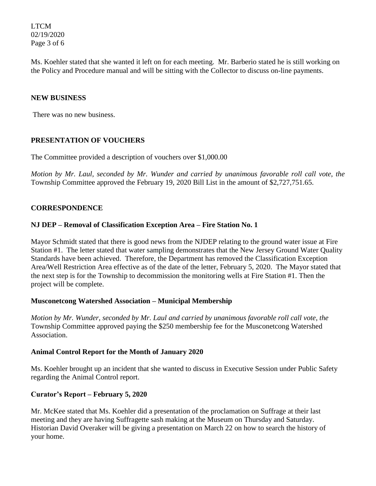LTCM 02/19/2020 Page 3 of 6

Ms. Koehler stated that she wanted it left on for each meeting. Mr. Barberio stated he is still working on the Policy and Procedure manual and will be sitting with the Collector to discuss on-line payments.

## **NEW BUSINESS**

There was no new business.

# **PRESENTATION OF VOUCHERS**

The Committee provided a description of vouchers over \$1,000.00

*Motion by Mr. Laul, seconded by Mr. Wunder and carried by unanimous favorable roll call vote*, *the*  Township Committee approved the February 19, 2020 Bill List in the amount of \$2,727,751.65.

#### **CORRESPONDENCE**

### **NJ DEP – Removal of Classification Exception Area – Fire Station No. 1**

Mayor Schmidt stated that there is good news from the NJDEP relating to the ground water issue at Fire Station #1. The letter stated that water sampling demonstrates that the New Jersey Ground Water Quality Standards have been achieved. Therefore, the Department has removed the Classification Exception Area/Well Restriction Area effective as of the date of the letter, February 5, 2020. The Mayor stated that the next step is for the Township to decommission the monitoring wells at Fire Station #1. Then the project will be complete.

#### **Musconetcong Watershed Association – Municipal Membership**

*Motion by Mr. Wunder, seconded by Mr. Laul and carried by unanimous favorable roll call vote, the* Township Committee approved paying the \$250 membership fee for the Musconetcong Watershed Association.

#### **Animal Control Report for the Month of January 2020**

Ms. Koehler brought up an incident that she wanted to discuss in Executive Session under Public Safety regarding the Animal Control report.

# **Curator's Report – February 5, 2020**

Mr. McKee stated that Ms. Koehler did a presentation of the proclamation on Suffrage at their last meeting and they are having Suffragette sash making at the Museum on Thursday and Saturday. Historian David Overaker will be giving a presentation on March 22 on how to search the history of your home.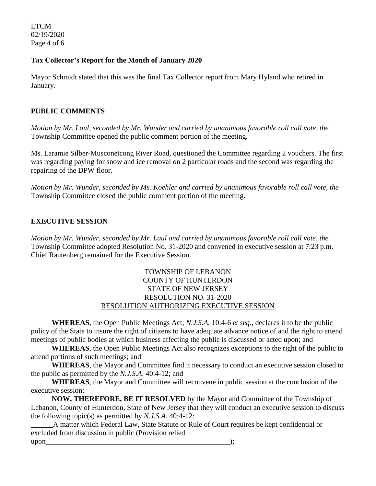LTCM 02/19/2020 Page 4 of 6

## **Tax Collector's Report for the Month of January 2020**

Mayor Schmidt stated that this was the final Tax Collector report from Mary Hyland who retired in January.

# **PUBLIC COMMENTS**

*Motion by Mr. Laul, seconded by Mr. Wunder and carried by unanimous favorable roll call vote, the*  Township Committee opened the public comment portion of the meeting.

Ms. Laramie Silber-Musconetcong River Road, questioned the Committee regarding 2 vouchers. The first was regarding paying for snow and ice removal on 2 particular roads and the second was regarding the repairing of the DPW floor.

*Motion by Mr. Wunder, seconded by Ms. Koehler and carried by unanimous favorable roll call vote, the*  Township Committee closed the public comment portion of the meeting.

# **EXECUTIVE SESSION**

*Motion by Mr. Wunder, seconded by Mr. Laul and carried by unanimous favorable roll call vote, the* Township Committee adopted Resolution No. 31-2020 and convened in executive session at 7:23 p.m. Chief Rautenberg remained for the Executive Session.

## TOWNSHIP OF LEBANON COUNTY OF HUNTERDON STATE OF NEW JERSEY RESOLUTION NO. 31-2020 RESOLUTION AUTHORIZING EXECUTIVE SESSION

**WHEREAS**, the Open Public Meetings Act; *N.J.S.A.* 10:4-6 *et seq*., declares it to be the public policy of the State to insure the right of citizens to have adequate advance notice of and the right to attend meetings of public bodies at which business affecting the public is discussed or acted upon; and

**WHEREAS**, the Open Public Meetings Act also recognizes exceptions to the right of the public to attend portions of such meetings; and

**WHEREAS**, the Mayor and Committee find it necessary to conduct an executive session closed to the public as permitted by the *N.J.S.A*. 40:4-12; and

**WHEREAS**, the Mayor and Committee will reconvene in public session at the conclusion of the executive session;

**NOW, THEREFORE, BE IT RESOLVED** by the Mayor and Committee of the Township of Lebanon, County of Hunterdon, State of New Jersey that they will conduct an executive session to discuss the following topic(s) as permitted by *N.J.S.A*. 40:4-12:

\_\_\_\_\_\_A matter which Federal Law, State Statute or Rule of Court requires be kept confidential or excluded from discussion in public (Provision relied

upon\_\_\_\_\_\_\_\_\_\_\_\_\_\_\_\_\_\_\_\_\_\_\_\_\_\_\_\_\_\_\_\_\_\_\_\_\_\_\_\_\_\_\_\_\_\_\_\_\_\_);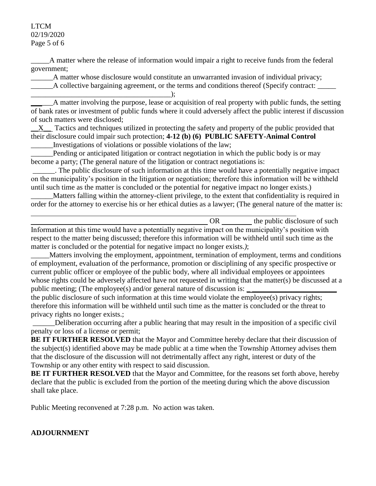#### LTCM 02/19/2020 Page 5 of 6

\_\_\_\_\_A matter where the release of information would impair a right to receive funds from the federal government;

A matter whose disclosure would constitute an unwarranted invasion of individual privacy;

A collective bargaining agreement, or the terms and conditions thereof (Specify contract:

\_\_\_\_\_\_\_\_\_\_\_\_\_\_\_\_\_\_\_\_\_\_\_\_\_\_\_\_\_\_\_\_\_\_\_\_\_\_); A matter involving the purpose, lease or acquisition of real property with public funds, the setting of bank rates or investment of public funds where it could adversely affect the public interest if discussion of such matters were disclosed;

 $X_{\text{max}}$  Tactics and techniques utilized in protecting the safety and property of the public provided that their disclosure could impair such protection; **4-12 (b) (6) PUBLIC SAFETY-Animal Control**

\_\_\_\_\_\_Investigations of violations or possible violations of the law;

Pending or anticipated litigation or contract negotiation in which the public body is or may become a party; (The general nature of the litigation or contract negotiations is:

\_\_\_\_\_\_. The public disclosure of such information at this time would have a potentially negative impact on the municipality's position in the litigation or negotiation; therefore this information will be withheld until such time as the matter is concluded or the potential for negative impact no longer exists.)

\_\_\_\_\_\_Matters falling within the attorney-client privilege, to the extent that confidentiality is required in order for the attorney to exercise his or her ethical duties as a lawyer; (The general nature of the matter is:

OR the public disclosure of such Information at this time would have a potentially negative impact on the municipality's position with respect to the matter being discussed; therefore this information will be withheld until such time as the matter is concluded or the potential for negative impact no longer exists.*)*;

\_\_\_\_\_Matters involving the employment, appointment, termination of employment, terms and conditions of employment, evaluation of the performance, promotion or disciplining of any specific prospective or current public officer or employee of the public body, where all individual employees or appointees whose rights could be adversely affected have not requested in writing that the matter(s) be discussed at a public meeting; (The employee(s) and/or general nature of discussion is:

the public disclosure of such information at this time would violate the employee(s) privacy rights; therefore this information will be withheld until such time as the matter is concluded or the threat to privacy rights no longer exists.;

\_\_\_\_\_\_Deliberation occurring after a public hearing that may result in the imposition of a specific civil penalty or loss of a license or permit;

**BE IT FURTHER RESOLVED** that the Mayor and Committee hereby declare that their discussion of the subject(s) identified above may be made public at a time when the Township Attorney advises them that the disclosure of the discussion will not detrimentally affect any right, interest or duty of the Township or any other entity with respect to said discussion.

**BE IT FURTHER RESOLVED** that the Mayor and Committee, for the reasons set forth above, hereby declare that the public is excluded from the portion of the meeting during which the above discussion shall take place.

Public Meeting reconvened at 7:28 p.m. No action was taken.

# **ADJOURNMENT**